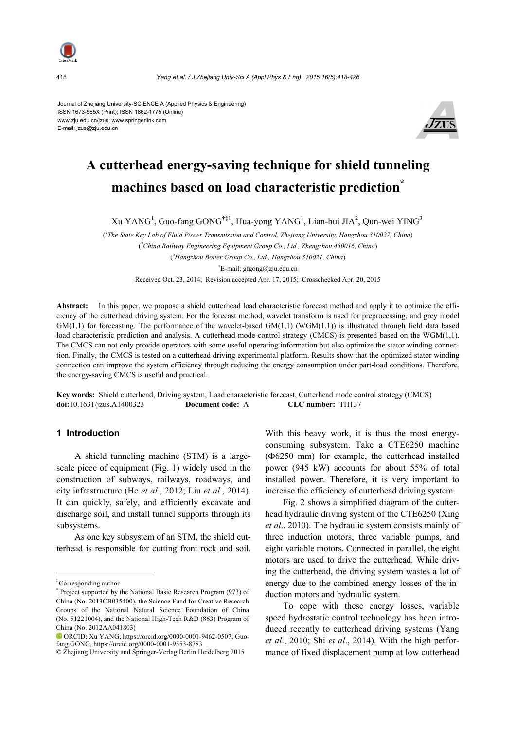

418 *Yang et al. / J Zhejiang Univ-Sci A (Appl Phys & Eng) 2015 16(5):418-426*

Journal of Zhejiang University-SCIENCE A (Applied Physics & Engineering) ISSN 1673-565X (Print); ISSN 1862-1775 (Online) www.zju.edu.cn/jzus; www.springerlink.com E-mail: jzus@zju.edu.cn



# **A cutterhead energy-saving technique for shield tunneling machines based on load characteristic prediction\***

 $Xu$  YANG<sup>1</sup>, Guo-fang GONG<sup>†‡1</sup>, Hua-yong YANG<sup>1</sup>, Lian-hui JIA<sup>2</sup>, Qun-wei YING<sup>3</sup>

( *1 The State Key Lab of Fluid Power Transmission and Control, Zhejiang University, Hangzhou 310027, China*) ( *2 China Railway Engineering Equipment Group Co., Ltd., Zhengzhou 450016, China*) ( *3 Hangzhou Boiler Group Co., Ltd., Hangzhou 310021, China*) † E-mail: gfgong@zju.edu.cn

Received Oct. 23, 2014; Revision accepted Apr. 17, 2015; Crosschecked Apr. 20, 2015

**Abstract:** In this paper, we propose a shield cutterhead load characteristic forecast method and apply it to optimize the efficiency of the cutterhead driving system. For the forecast method, wavelet transform is used for preprocessing, and grey model  $GM(1,1)$  for forecasting. The performance of the wavelet-based  $GM(1,1)$  (WGM $(1,1)$ ) is illustrated through field data based load characteristic prediction and analysis. A cutterhead mode control strategy (CMCS) is presented based on the WGM(1,1). The CMCS can not only provide operators with some useful operating information but also optimize the stator winding connection. Finally, the CMCS is tested on a cutterhead driving experimental platform. Results show that the optimized stator winding connection can improve the system efficiency through reducing the energy consumption under part-load conditions. Therefore, the energy-saving CMCS is useful and practical.

**Key words:** Shield cutterhead, Driving system, Load characteristic forecast, Cutterhead mode control strategy (CMCS) **doi:**10.1631/jzus.A1400323 **Document code:** A **CLC number:** TH137

# **1 Introduction**

A shield tunneling machine (STM) is a largescale piece of equipment (Fig. 1) widely used in the construction of subways, railways, roadways, and city infrastructure (He *et al*., 2012; Liu *et al*., 2014). It can quickly, safely, and efficiently excavate and discharge soil, and install tunnel supports through its subsystems.

As one key subsystem of an STM, the shield cutterhead is responsible for cutting front rock and soil.

With this heavy work, it is thus the most energyconsuming subsystem. Take a CTE6250 machine (Ф6250 mm) for example, the cutterhead installed power (945 kW) accounts for about 55% of total installed power. Therefore, it is very important to increase the efficiency of cutterhead driving system.

Fig. 2 shows a simplified diagram of the cutterhead hydraulic driving system of the CTE6250 (Xing *et al*., 2010). The hydraulic system consists mainly of three induction motors, three variable pumps, and eight variable motors. Connected in parallel, the eight motors are used to drive the cutterhead. While driving the cutterhead, the driving system wastes a lot of energy due to the combined energy losses of the induction motors and hydraulic system.

To cope with these energy losses, variable speed hydrostatic control technology has been introduced recently to cutterhead driving systems (Yang *et al*., 2010; Shi *et al*., 2014). With the high performance of fixed displacement pump at low cutterhead

<sup>‡</sup> Corresponding author

<sup>\*</sup> Project supported by the National Basic Research Program (973) of China (No. 2013CB035400), the Science Fund for Creative Research Groups of the National Natural Science Foundation of China (No. 51221004), and the National High-Tech R&D (863) Program of China (No. 2012AA041803)

ORCID: Xu YANG, https://orcid.org/0000-0001-9462-0507; Guofang GONG, https://orcid.org/0000-0001-9553-8783

<sup>©</sup> Zhejiang University and Springer-Verlag Berlin Heidelberg 2015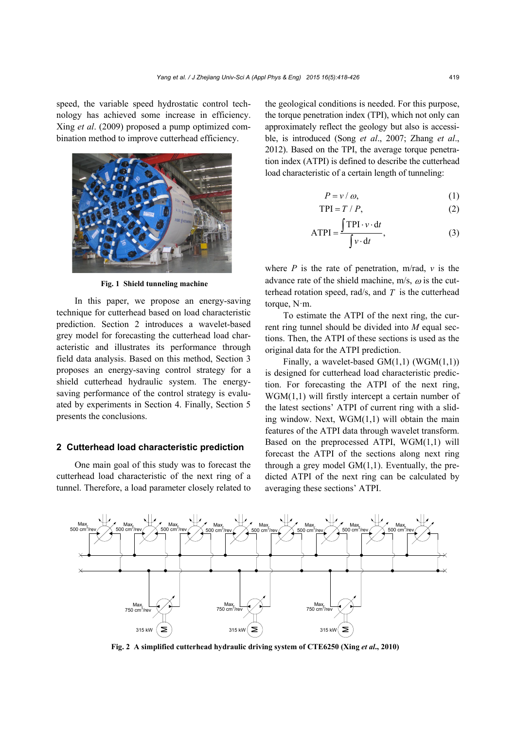speed, the variable speed hydrostatic control technology has achieved some increase in efficiency. Xing *et al*. (2009) proposed a pump optimized combination method to improve cutterhead efficiency.



**Fig. 1 Shield tunneling machine** 

In this paper, we propose an energy-saving technique for cutterhead based on load characteristic prediction. Section 2 introduces a wavelet-based grey model for forecasting the cutterhead load characteristic and illustrates its performance through field data analysis. Based on this method, Section 3 proposes an energy-saving control strategy for a shield cutterhead hydraulic system. The energysaving performance of the control strategy is evaluated by experiments in Section 4. Finally, Section 5 presents the conclusions.

# **2 Cutterhead load characteristic prediction**

One main goal of this study was to forecast the cutterhead load characteristic of the next ring of a tunnel. Therefore, a load parameter closely related to the geological conditions is needed. For this purpose, the torque penetration index (TPI), which not only can approximately reflect the geology but also is accessible, is introduced (Song *et al*., 2007; Zhang *et al*., 2012). Based on the TPI, the average torque penetration index (ATPI) is defined to describe the cutterhead load characteristic of a certain length of tunneling:

$$
P = v / \omega, \tag{1}
$$

$$
TPI = T / P, \tag{2}
$$

$$
ATPI = \frac{\int TPI \cdot v \cdot dt}{\int v \cdot dt},
$$
 (3)

where  $P$  is the rate of penetration, m/rad,  $v$  is the advance rate of the shield machine,  $m/s$ ,  $\omega$  is the cutterhead rotation speed, rad/s, and *T* is the cutterhead torque, N·m.

To estimate the ATPI of the next ring, the current ring tunnel should be divided into *M* equal sections. Then, the ATPI of these sections is used as the original data for the ATPI prediction.

Finally, a wavelet-based GM(1,1) (WGM(1,1)) is designed for cutterhead load characteristic prediction. For forecasting the ATPI of the next ring, WGM(1,1) will firstly intercept a certain number of the latest sections' ATPI of current ring with a sliding window. Next, WGM(1,1) will obtain the main features of the ATPI data through wavelet transform. Based on the preprocessed ATPI, WGM(1,1) will forecast the ATPI of the sections along next ring through a grey model  $GM(1,1)$ . Eventually, the predicted ATPI of the next ring can be calculated by averaging these sections' ATPI.



**Fig. 2 A simplified cutterhead hydraulic driving system of CTE6250 (Xing** *et al***., 2010)**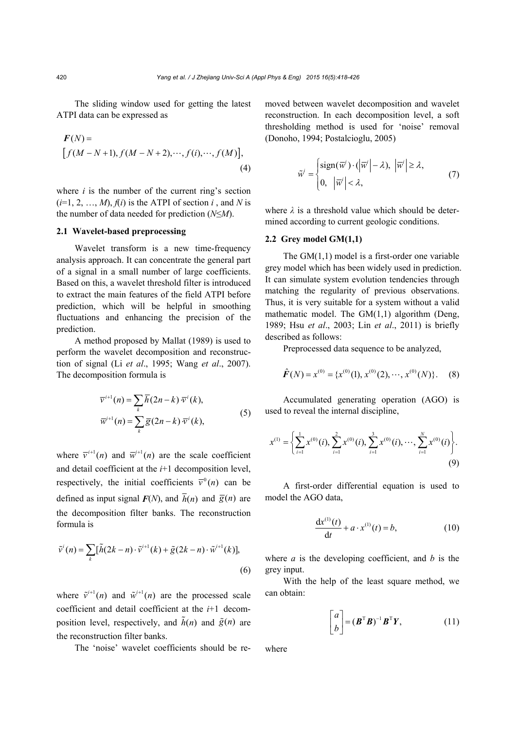The sliding window used for getting the latest ATPI data can be expressed as

$$
F(N) = [f(M - N + 1), f(M - N + 2), \cdots, f(i), \cdots, f(M)],
$$
\n(4)

where  $i$  is the number of the current ring's section  $(i=1, 2, ..., M)$ ,  $f(i)$  is the ATPI of section *i*, and *N* is the number of data needed for prediction (*N*≤*M*).

# **2.1 Wavelet-based preprocessing**

Wavelet transform is a new time-frequency analysis approach. It can concentrate the general part of a signal in a small number of large coefficients. Based on this, a wavelet threshold filter is introduced to extract the main features of the field ATPI before prediction, which will be helpful in smoothing fluctuations and enhancing the precision of the prediction.

A method proposed by Mallat (1989) is used to perform the wavelet decomposition and reconstruction of signal (Li *et al*., 1995; Wang *et al*., 2007). The decomposition formula is

$$
\overline{v}^{i+1}(n) = \sum_{k} \overline{h}(2n-k) \overline{v}^{i}(k),
$$
  
\n
$$
\overline{w}^{i+1}(n) = \sum_{k} \overline{g}(2n-k) \overline{v}^{i}(k),
$$
\n(5)

where  $\overline{v}^{i+1}(n)$  and  $\overline{w}^{i+1}(n)$  are the scale coefficient and detail coefficient at the *i*+1 decomposition level, respectively, the initial coefficients  $\bar{v}^0(n)$  can be defined as input signal  $F(N)$ , and  $\overline{h}(n)$  and  $\overline{g}(n)$  are the decomposition filter banks. The reconstruction formula is

$$
\tilde{v}^{i}(n) = \sum_{k} [\tilde{h}(2k - n) \cdot \tilde{v}^{i+1}(k) + \tilde{g}(2k - n) \cdot \tilde{w}^{i+1}(k)],
$$
\n(6)

where  $\tilde{v}^{i+1}(n)$  and  $\tilde{w}^{i+1}(n)$  are the processed scale coefficient and detail coefficient at the *i*+1 decomposition level, respectively, and  $\tilde{h}(n)$  and  $\tilde{g}(n)$  are the reconstruction filter banks.

The 'noise' wavelet coefficients should be re-

moved between wavelet decomposition and wavelet reconstruction. In each decomposition level, a soft thresholding method is used for 'noise' removal (Donoho, 1994; Postalcioglu, 2005)

$$
\widetilde{w}^{i} = \begin{cases} \text{sign}(\overline{w}^{i}) \cdot (\left| \overline{w}^{i} \right| - \lambda), & \left| \overline{w}^{i} \right| \geq \lambda, \\ 0, & \left| \overline{w}^{i} \right| < \lambda, \end{cases}
$$
\n(7)

where  $\lambda$  is a threshold value which should be determined according to current geologic conditions.

# **2.2 Grey model GM(1,1)**

The GM(1,1) model is a first-order one variable grey model which has been widely used in prediction. It can simulate system evolution tendencies through matching the regularity of previous observations. Thus, it is very suitable for a system without a valid mathematic model. The  $GM(1,1)$  algorithm (Deng, 1989; Hsu *et al*., 2003; Lin *et al*., 2011) is briefly described as follows:

Preprocessed data sequence to be analyzed,

$$
\hat{F}(N) = x^{(0)} = \{x^{(0)}(1), x^{(0)}(2), \cdots, x^{(0)}(N)\}.
$$
 (8)

Accumulated generating operation (AGO) is used to reveal the internal discipline,

$$
x^{(1)} = \left\{ \sum_{i=1}^{1} x^{(0)}(i), \sum_{i=1}^{2} x^{(0)}(i), \sum_{i=1}^{3} x^{(0)}(i), \cdots, \sum_{i=1}^{N} x^{(0)}(i) \right\}.
$$
\n(9)

A first-order differential equation is used to model the AGO data,

$$
\frac{dx^{(1)}(t)}{dt} + a \cdot x^{(1)}(t) = b,
$$
 (10)

where  $a$  is the developing coefficient, and  $b$  is the grey input.

With the help of the least square method, we can obtain:

$$
\begin{bmatrix} a \\ b \end{bmatrix} = (\boldsymbol{B}^{\mathrm{T}} \boldsymbol{B})^{-1} \boldsymbol{B}^{\mathrm{T}} \boldsymbol{Y}, \tag{11}
$$

where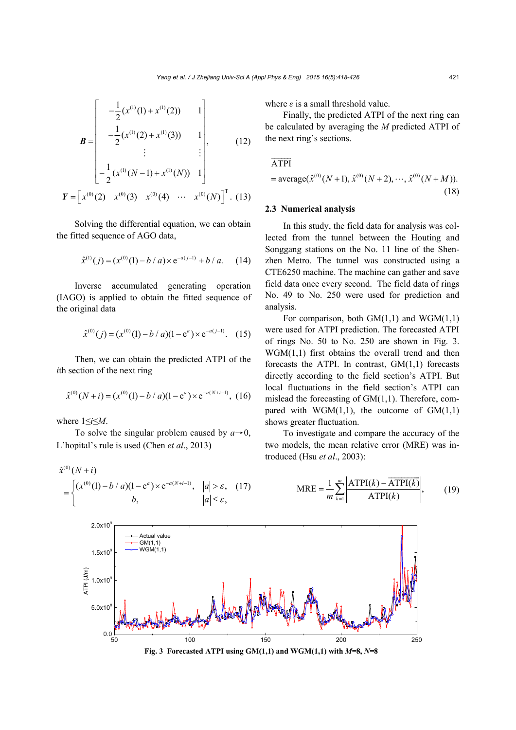$$
\mathbf{B} = \begin{bmatrix} -\frac{1}{2} (x^{(1)}(1) + x^{(1)}(2)) & 1 \\ -\frac{1}{2} (x^{(1)}(2) + x^{(1)}(3)) & 1 \\ \vdots & \vdots \\ -\frac{1}{2} (x^{(1)}(N-1) + x^{(1)}(N)) & 1 \end{bmatrix},
$$
(12)  

$$
\mathbf{Y} = \begin{bmatrix} x^{(0)}(2) & x^{(0)}(3) & x^{(0)}(4) & \cdots & x^{(0)}(N) \end{bmatrix}^T.
$$
(13)

Solving the differential equation, we can obtain the fitted sequence of AGO data,

$$
\hat{x}^{(1)}(j) = (x^{(0)}(1) - b/a) \times e^{-a(j-1)} + b/a.
$$
 (14)

Inverse accumulated generating operation (IAGO) is applied to obtain the fitted sequence of the original data

$$
\hat{x}^{(0)}(j) = (x^{(0)}(1) - b/a)(1 - e^a) \times e^{-a(j-1)}.
$$
 (15)

Then, we can obtain the predicted ATPI of the *i*th section of the next ring

$$
\hat{x}^{(0)}(N+i) = (x^{(0)}(1) - b/a)(1 - e^a) \times e^{-a(N+i-1)},
$$
 (16)

where 1≤*i*≤*M*.

To solve the singular problem caused by  $a \rightarrow 0$ , L'hopital's rule is used (Chen *et al*., 2013)

$$
\hat{x}^{(0)}(N+i)
$$
\n
$$
= \begin{cases}\n(x^{(0)}(1) - b/a)(1 - e^a) \times e^{-a(N+i-1)}, & |a| > \varepsilon, (17) \\
b, & |a| \le \varepsilon,\n\end{cases}
$$

where *ε* is a small threshold value.

Finally, the predicted ATPI of the next ring can be calculated by averaging the *M* predicted ATPI of the next ring's sections.

$$
\overrightarrow{\text{ATPI}}
$$

$$
= \text{average}(\hat{x}^{(0)}(N+1), \hat{x}^{(0)}(N+2), \cdots, \hat{x}^{(0)}(N+M)).
$$
\n(18)

#### **2.3 Numerical analysis**

In this study, the field data for analysis was collected from the tunnel between the Houting and Songgang stations on the No. 11 line of the Shenzhen Metro. The tunnel was constructed using a CTE6250 machine. The machine can gather and save field data once every second. The field data of rings No. 49 to No. 250 were used for prediction and analysis.

For comparison, both  $GM(1,1)$  and  $WGM(1,1)$ were used for ATPI prediction. The forecasted ATPI of rings No. 50 to No. 250 are shown in Fig. 3. WGM(1,1) first obtains the overall trend and then forecasts the ATPI. In contrast,  $GM(1,1)$  forecasts directly according to the field section's ATPI. But local fluctuations in the field section's ATPI can mislead the forecasting of GM(1,1). Therefore, compared with  $WGM(1,1)$ , the outcome of  $GM(1,1)$ shows greater fluctuation.

To investigate and compare the accuracy of the two models, the mean relative error (MRE) was introduced (Hsu *et al*., 2003):

 $MRE = \frac{1}{m} \sum_{k=1}^{m} \left| \frac{ATPI(k) - ATPI(k)}{ATPI(k)} \right|,$ 

 $=\frac{1}{m}\sum_{k=1}^{m} \left|\frac{ATPI(k)-A}{ATPI(k)}\right|$ 

 $k$ ) – ATPI( $k$ 

 $\overline{\phantom{a}}$ 

(19)

*k*

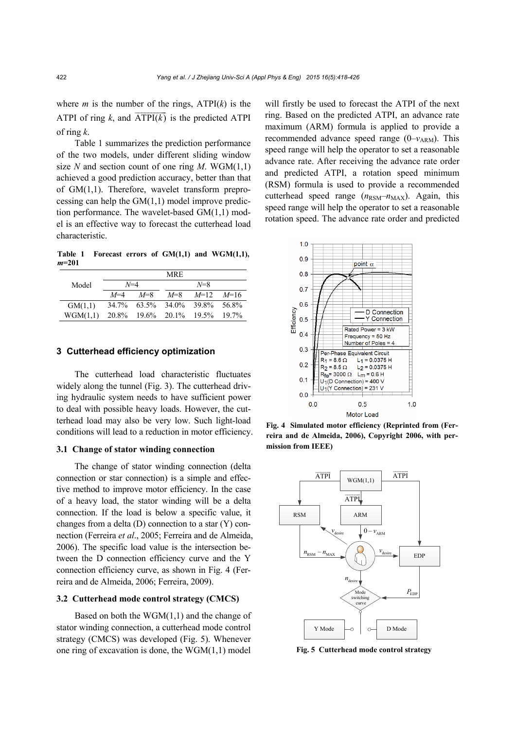where *m* is the number of the rings,  $\text{ATPI}(k)$  is the ATPI of ring  $k$ , and  $\overline{ATPI(k)}$  is the predicted ATPI of ring *k*.

Table 1 summarizes the prediction performance of the two models, under different sliding window size *N* and section count of one ring *M*. WGM $(1,1)$ achieved a good prediction accuracy, better than that of GM(1,1). Therefore, wavelet transform preprocessing can help the  $GM(1,1)$  model improve prediction performance. The wavelet-based GM(1,1) model is an effective way to forecast the cutterhead load characteristic.

**Table 1 Forecast errors of GM(1,1) and WGM(1,1),**  *m***=201** 

|          | MRE.    |       |                         |                            |          |  |
|----------|---------|-------|-------------------------|----------------------------|----------|--|
| Model    | $N=4$   |       |                         |                            |          |  |
|          | $M = 4$ | $M=8$ | $M = 8$                 | $M=12$ $M=16$              |          |  |
| GM(1,1)  | 34.7%   |       |                         | $63.5\%$ $34.0\%$ $39.8\%$ | -56.8%   |  |
| WGM(1,1) |         |       | 20.8% 19.6% 20.1% 19.5% |                            | $19.7\%$ |  |

# **3 Cutterhead efficiency optimization**

The cutterhead load characteristic fluctuates widely along the tunnel (Fig. 3). The cutterhead driving hydraulic system needs to have sufficient power to deal with possible heavy loads. However, the cutterhead load may also be very low. Such light-load conditions will lead to a reduction in motor efficiency.

#### **3.1 Change of stator winding connection**

The change of stator winding connection (delta connection or star connection) is a simple and effective method to improve motor efficiency. In the case of a heavy load, the stator winding will be a delta connection. If the load is below a specific value, it changes from a delta (D) connection to a star (Y) connection (Ferreira *et al*., 2005; Ferreira and de Almeida, 2006). The specific load value is the intersection between the D connection efficiency curve and the Y connection efficiency curve, as shown in Fig. 4 (Ferreira and de Almeida, 2006; Ferreira, 2009).

### **3.2 Cutterhead mode control strategy (CMCS)**

Based on both the WGM(1,1) and the change of stator winding connection, a cutterhead mode control strategy (CMCS) was developed (Fig. 5). Whenever one ring of excavation is done, the WGM(1,1) model

will firstly be used to forecast the ATPI of the next ring. Based on the predicted ATPI, an advance rate maximum (ARM) formula is applied to provide a recommended advance speed range  $(0-v_{ARM})$ . This speed range will help the operator to set a reasonable advance rate. After receiving the advance rate order and predicted ATPI, a rotation speed minimum (RSM) formula is used to provide a recommended cutterhead speed range  $(n_{\text{RSM}}-n_{\text{MAX}})$ . Again, this speed range will help the operator to set a reasonable rotation speed. The advance rate order and predicted



**Fig. 4 Simulated motor efficiency (Reprinted from (Ferreira and de Almeida, 2006), Copyright 2006, with permission from IEEE)** 



**Fig. 5 Cutterhead mode control strategy**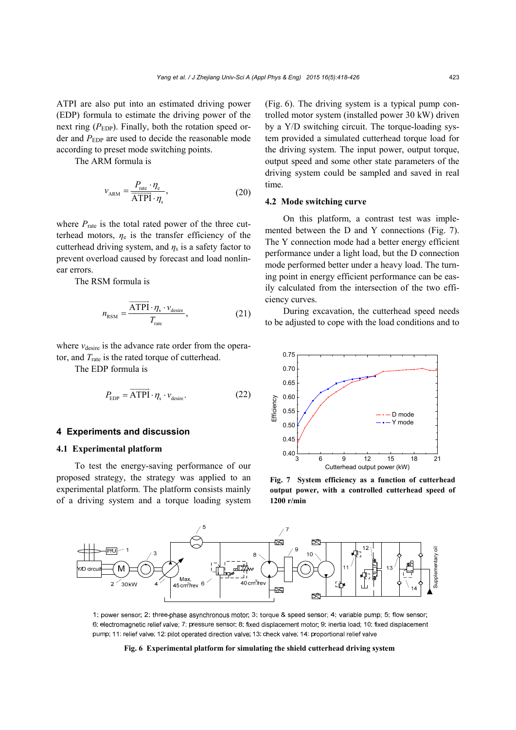ATPI are also put into an estimated driving power (EDP) formula to estimate the driving power of the next ring  $(P_{EDP})$ . Finally, both the rotation speed order and *P*<sub>EDP</sub> are used to decide the reasonable mode according to preset mode switching points.

The ARM formula is

$$
v_{\text{ARM}} = \frac{P_{\text{rate}} \cdot \eta_{\text{e}}}{\overline{\text{ATPI}} \cdot \eta_{\text{s}}},\tag{20}
$$

where  $P_{\text{rate}}$  is the total rated power of the three cutterhead motors,  $\eta_e$  is the transfer efficiency of the cutterhead driving system, and  $\eta_s$  is a safety factor to prevent overload caused by forecast and load nonlinear errors.

The RSM formula is

$$
n_{\text{RSM}} = \frac{\overrightarrow{\text{ATPI}} \cdot \eta_{\text{s}} \cdot v_{\text{desire}}}{T_{\text{rate}}},\tag{21}
$$

where  $v_{\text{desire}}$  is the advance rate order from the operator, and  $T<sub>rate</sub>$  is the rated torque of cutterhead.

The EDP formula is

$$
P_{\rm EDP} = \overrightarrow{\rm ATPI} \cdot \eta_s \cdot v_{\rm desire}.
$$
 (22)

# **4 Experiments and discussion**

## **4.1 Experimental platform**

To test the energy-saving performance of our proposed strategy, the strategy was applied to an experimental platform. The platform consists mainly of a driving system and a torque loading system (Fig. 6). The driving system is a typical pump controlled motor system (installed power 30 kW) driven by a Y/D switching circuit. The torque-loading system provided a simulated cutterhead torque load for the driving system. The input power, output torque, output speed and some other state parameters of the driving system could be sampled and saved in real time.

### **4.2 Mode switching curve**

On this platform, a contrast test was implemented between the D and Y connections (Fig. 7). The Y connection mode had a better energy efficient performance under a light load, but the D connection mode performed better under a heavy load. The turning point in energy efficient performance can be easily calculated from the intersection of the two efficiency curves.

During excavation, the cutterhead speed needs to be adjusted to cope with the load conditions and to



**Fig. 7 System efficiency as a function of cutterhead output power, with a controlled cutterhead speed of 1200 r/min** 



1: power sensor; 2: three-phase asynchronous motor; 3: torque & speed sensor; 4: variable pump; 5: flow sensor; 6: electromagnetic relief valve; 7: pressure sensor: 8: fixed displacement motor; 9: inertia load; 10: fixed displacement pump; 11: relief valve; 12: pilot operated direction valve; 13: check valve; 14: proportional relief valve

#### **Fig. 6 Experimental platform for simulating the shield cutterhead driving system**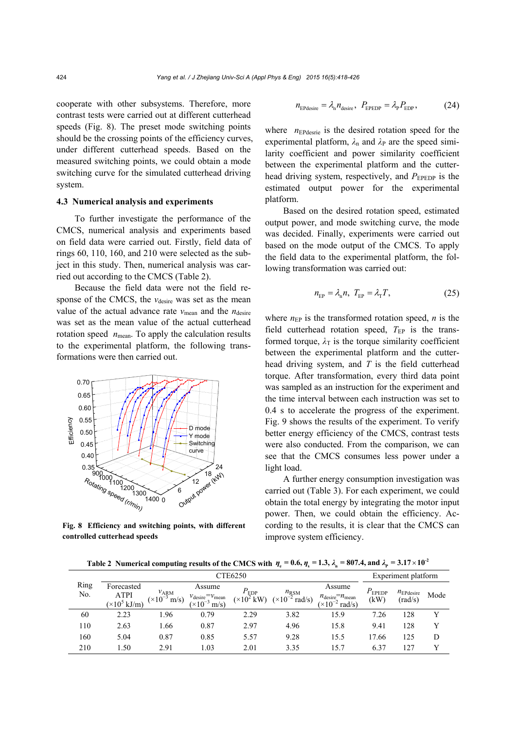cooperate with other subsystems. Therefore, more contrast tests were carried out at different cutterhead speeds (Fig. 8). The preset mode switching points should be the crossing points of the efficiency curves, under different cutterhead speeds. Based on the measured switching points, we could obtain a mode switching curve for the simulated cutterhead driving system.

#### **4.3 Numerical analysis and experiments**

To further investigate the performance of the CMCS, numerical analysis and experiments based on field data were carried out. Firstly, field data of rings 60, 110, 160, and 210 were selected as the subject in this study. Then, numerical analysis was carried out according to the CMCS (Table 2).

Because the field data were not the field response of the CMCS, the *v*<sub>desire</sub> was set as the mean value of the actual advance rate  $v_{\text{mean}}$  and the  $n_{\text{desire}}$ was set as the mean value of the actual cutterhead rotation speed  $n_{\text{mean}}$ . To apply the calculation results to the experimental platform, the following transformations were then carried out.



**Fig. 8 Efficiency and switching points, with different controlled cutterhead speeds**

$$
n_{\text{EPdesire}} = \lambda_{\text{n}} n_{\text{desire}}, \ P_{\text{EPEDP}} = \lambda_{\text{P}} P_{\text{EDP}}, \tag{24}
$$

where  $n_{\text{EPdesrie}}$  is the desired rotation speed for the experimental platform,  $\lambda_n$  and  $\lambda_P$  are the speed similarity coefficient and power similarity coefficient between the experimental platform and the cutterhead driving system, respectively, and *P*<sub>EPEDP</sub> is the estimated output power for the experimental platform.

Based on the desired rotation speed, estimated output power, and mode switching curve, the mode was decided. Finally, experiments were carried out based on the mode output of the CMCS. To apply the field data to the experimental platform, the following transformation was carried out:

$$
n_{\rm EP} = \lambda_{\rm n} n, \ T_{\rm EP} = \lambda_{\rm T} T,\tag{25}
$$

where  $n_{EP}$  is the transformed rotation speed,  $n$  is the field cutterhead rotation speed,  $T_{EP}$  is the transformed torque,  $\lambda$ <sup>T</sup> is the torque similarity coefficient between the experimental platform and the cutterhead driving system, and *T* is the field cutterhead torque. After transformation, every third data point was sampled as an instruction for the experiment and the time interval between each instruction was set to 0.4 s to accelerate the progress of the experiment. Fig. 9 shows the results of the experiment. To verify better energy efficiency of the CMCS, contrast tests were also conducted. From the comparison, we can see that the CMCS consumes less power under a light load.

A further energy consumption investigation was carried out (Table 3). For each experiment, we could obtain the total energy by integrating the motor input power. Then, we could obtain the efficiency. According to the results, it is clear that the CMCS can improve system efficiency.

**Table 2** Numerical computing results of the CMCS with  $\eta_e = 0.6$ ,  $\eta_s = 1.3$ ,  $\lambda_n = 807.4$ , and  $\lambda_p = 3.17 \times 10^{-2}$ 

|             | CTE6250                                                   |                                             |                                                                            |                                         |                                                    |                                                                           | Experiment platform    |                                  |      |
|-------------|-----------------------------------------------------------|---------------------------------------------|----------------------------------------------------------------------------|-----------------------------------------|----------------------------------------------------|---------------------------------------------------------------------------|------------------------|----------------------------------|------|
| Ring<br>No. | Forecasted<br><b>ATPI</b><br>$(\times 10^5 \text{ kJ/m})$ | $v_{\text{ARM}}$<br>$(x10^{-3})$<br>$m/s$ ) | Assume<br>$v_{\text{desire}} = v_{\text{mean}}$<br>$(x10^{-3})$<br>$m/s$ ) | $P_{EDP}$<br>$(\times 10^2 \text{ kW})$ | $n_{\text{RSM}}$<br>$(x10^{-2})$<br>$\text{rad/s}$ | Assume<br>$n_{\text{desire}} = n_{\text{mean}}$<br>$(x10^{-2})$<br>rad/s) | $P_{\rm EPEDP}$<br>(kW | $n_{\text{EPdesire}}$<br>(rad/s) | Mode |
| 60          | 2.23                                                      | 1.96                                        | 0.79                                                                       | 2.29                                    | 3.82                                               | 15.9                                                                      | 7.26                   | 128                              | v    |
| 110         | 2.63                                                      | 1.66                                        | 0.87                                                                       | 2.97                                    | 4.96                                               | 15.8                                                                      | 9.41                   | 128                              | v    |
| 160         | 5.04                                                      | 0.87                                        | 0.85                                                                       | 5.57                                    | 9.28                                               | 15.5                                                                      | 17.66                  | 125                              | D    |
| 210         | 1.50                                                      | 2.91                                        | 1.03                                                                       | 2.01                                    | 3.35                                               | 15.7                                                                      | 6.37                   | 127                              |      |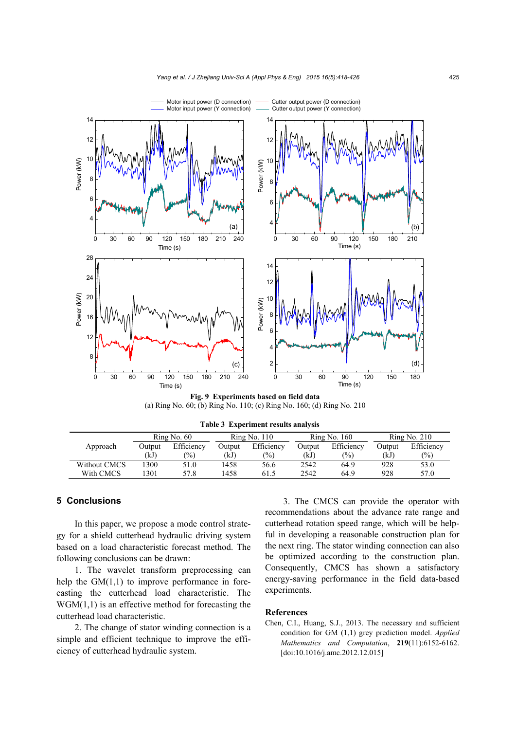

**Fig. 9 Experiments based on field data**  (a) Ring No. 60; (b) Ring No. 110; (c) Ring No. 160; (d) Ring No. 210

|              | Ring No. 60 |            | Ring No. 110  |                | Ring No. 160 |                 | Ring No. 210 |               |
|--------------|-------------|------------|---------------|----------------|--------------|-----------------|--------------|---------------|
| Approach     | Output      | Efficiency | <b>Dutput</b> | Efficiency     | Output       | Efficiency      | Output       | Efficiency    |
|              | (kJ)        | $\%$       | (kJ)          | $\binom{0}{0}$ | (kJ)         | $\frac{(0)}{0}$ | (kJ)         | $\frac{1}{2}$ |
| Without CMCS | 300         | 51.0       | 1458          | 56.6           | 2542         | 64.9            | 928          | 53.0          |
| With CMCS    | 301         | 57.8       | 1458          | 61.5           | 2542         | 64.9            | 928          | 57.0          |

**Table 3 Experiment results analysis**

# **5 Conclusions**

In this paper, we propose a mode control strategy for a shield cutterhead hydraulic driving system based on a load characteristic forecast method. The following conclusions can be drawn:

1. The wavelet transform preprocessing can help the  $GM(1,1)$  to improve performance in forecasting the cutterhead load characteristic. The  $WGM(1,1)$  is an effective method for forecasting the cutterhead load characteristic.

2. The change of stator winding connection is a simple and efficient technique to improve the efficiency of cutterhead hydraulic system.

3. The CMCS can provide the operator with recommendations about the advance rate range and cutterhead rotation speed range, which will be helpful in developing a reasonable construction plan for the next ring. The stator winding connection can also be optimized according to the construction plan. Consequently, CMCS has shown a satisfactory energy-saving performance in the field data-based experiments.

#### **References**

Chen, C.I., Huang, S.J., 2013. The necessary and sufficient condition for GM (1,1) grey prediction model. *Applied Mathematics and Computation*, **219**(11):6152-6162. [doi:10.1016/j.amc.2012.12.015]